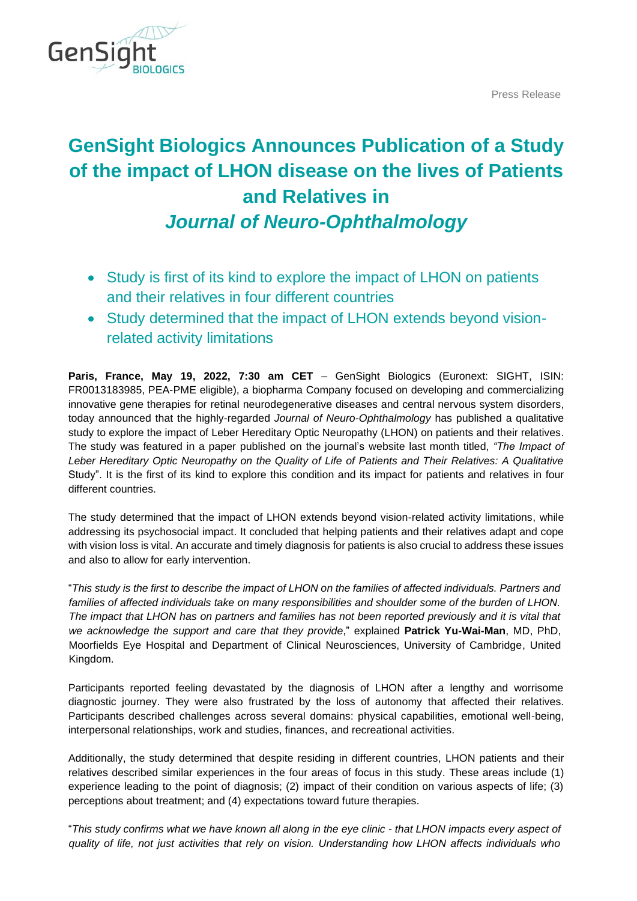Press Release



# **GenSight Biologics Announces Publication of a Study of the impact of LHON disease on the lives of Patients and Relatives in**  *Journal of Neuro-Ophthalmology*

- Study is first of its kind to explore the impact of LHON on patients and their relatives in four different countries
- Study determined that the impact of LHON extends beyond visionrelated activity limitations

**Paris, France, May 19, 2022, 7:30 am CET** – GenSight Biologics (Euronext: SIGHT, ISIN: FR0013183985, PEA-PME eligible), a biopharma Company focused on developing and commercializing innovative gene therapies for retinal neurodegenerative diseases and central nervous system disorders, today announced that the highly-regarded *Journal of Neuro-Ophthalmology* has published a qualitative study to explore the impact of Leber Hereditary Optic Neuropathy (LHON) on patients and their relatives. The study was featured in a paper published on the journal's website last month titled, *"The Impact of Leber Hereditary Optic Neuropathy on the Quality of Life of Patients and Their Relatives: A Qualitative*  Study". It is the first of its kind to explore this condition and its impact for patients and relatives in four different countries.

The study determined that the impact of LHON extends beyond vision-related activity limitations, while addressing its psychosocial impact. It concluded that helping patients and their relatives adapt and cope with vision loss is vital. An accurate and timely diagnosis for patients is also crucial to address these issues and also to allow for early intervention.

"*This study is the first to describe the impact of LHON on the families of affected individuals. Partners and families of affected individuals take on many responsibilities and shoulder some of the burden of LHON. The impact that LHON has on partners and families has not been reported previously and it is vital that we acknowledge the support and care that they provide*," explained **Patrick Yu-Wai-Man**, MD, PhD, Moorfields Eye Hospital and Department of Clinical Neurosciences, University of Cambridge, United Kingdom.

Participants reported feeling devastated by the diagnosis of LHON after a lengthy and worrisome diagnostic journey. They were also frustrated by the loss of autonomy that affected their relatives. Participants described challenges across several domains: physical capabilities, emotional well-being, interpersonal relationships, work and studies, finances, and recreational activities.

Additionally, the study determined that despite residing in different countries, LHON patients and their relatives described similar experiences in the four areas of focus in this study. These areas include (1) experience leading to the point of diagnosis; (2) impact of their condition on various aspects of life; (3) perceptions about treatment; and (4) expectations toward future therapies.

"*This study confirms what we have known all along in the eye clinic - that LHON impacts every aspect of quality of life, not just activities that rely on vision. Understanding how LHON affects individuals who*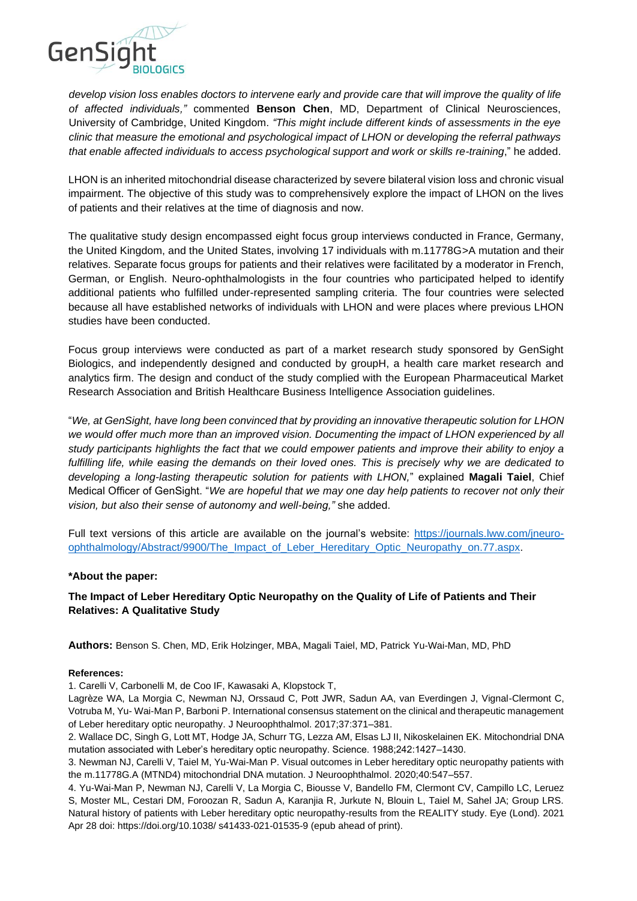

*develop vision loss enables doctors to intervene early and provide care that will improve the quality of life of affected individuals,"* commented **Benson Chen**, MD, Department of Clinical Neurosciences, University of Cambridge, United Kingdom. *"This might include different kinds of assessments in the eye clinic that measure the emotional and psychological impact of LHON or developing the referral pathways that enable affected individuals to access psychological support and work or skills re-training*," he added.

LHON is an inherited mitochondrial disease characterized by severe bilateral vision loss and chronic visual impairment. The objective of this study was to comprehensively explore the impact of LHON on the lives of patients and their relatives at the time of diagnosis and now.

The qualitative study design encompassed eight focus group interviews conducted in France, Germany, the United Kingdom, and the United States, involving 17 individuals with m.11778G>A mutation and their relatives. Separate focus groups for patients and their relatives were facilitated by a moderator in French, German, or English. Neuro-ophthalmologists in the four countries who participated helped to identify additional patients who fulfilled under-represented sampling criteria. The four countries were selected because all have established networks of individuals with LHON and were places where previous LHON studies have been conducted.

Focus group interviews were conducted as part of a market research study sponsored by GenSight Biologics, and independently designed and conducted by groupH, a health care market research and analytics firm. The design and conduct of the study complied with the European Pharmaceutical Market Research Association and British Healthcare Business Intelligence Association guidelines.

"*We, at GenSight, have long been convinced that by providing an innovative therapeutic solution for LHON we would offer much more than an improved vision. Documenting the impact of LHON experienced by all study participants highlights the fact that we could empower patients and improve their ability to enjoy a fulfilling life, while easing the demands on their loved ones. This is precisely why we are dedicated to developing a long-lasting therapeutic solution for patients with LHON,*" explained **Magali Taiel**, Chief Medical Officer of GenSight. "*We are hopeful that we may one day help patients to recover not only their vision, but also their sense of autonomy and well-being,"* she added.

Full text versions of this article are available on the journal's website: [https://journals.lww.com/jneuro](https://journals.lww.com/jneuro-ophthalmology/Abstract/9900/The_Impact_of_Leber_Hereditary_Optic_Neuropathy_on.77.aspx)[ophthalmology/Abstract/9900/The\\_Impact\\_of\\_Leber\\_Hereditary\\_Optic\\_Neuropathy\\_on.77.aspx.](https://journals.lww.com/jneuro-ophthalmology/Abstract/9900/The_Impact_of_Leber_Hereditary_Optic_Neuropathy_on.77.aspx)

# **\*About the paper:**

# **The Impact of Leber Hereditary Optic Neuropathy on the Quality of Life of Patients and Their Relatives: A Qualitative Study**

**Authors:** Benson S. Chen, MD, Erik Holzinger, MBA, Magali Taiel, MD, Patrick Yu-Wai-Man, MD, PhD

## **References:**

1. Carelli V, Carbonelli M, de Coo IF, Kawasaki A, Klopstock T,

Lagrèze WA, La Morgia C, Newman NJ, Orssaud C, Pott JWR, Sadun AA, van Everdingen J, Vignal-Clermont C, Votruba M, Yu- Wai-Man P, Barboni P. International consensus statement on the clinical and therapeutic management of Leber hereditary optic neuropathy. J Neuroophthalmol. 2017;37:371–381.

2. Wallace DC, Singh G, Lott MT, Hodge JA, Schurr TG, Lezza AM, Elsas LJ II, Nikoskelainen EK. Mitochondrial DNA mutation associated with Leber's hereditary optic neuropathy. Science. 1988;242:1427–1430.

3. Newman NJ, Carelli V, Taiel M, Yu-Wai-Man P. Visual outcomes in Leber hereditary optic neuropathy patients with the m.11778G.A (MTND4) mitochondrial DNA mutation. J Neuroophthalmol. 2020;40:547–557.

4. Yu-Wai-Man P, Newman NJ, Carelli V, La Morgia C, Biousse V, Bandello FM, Clermont CV, Campillo LC, Leruez S, Moster ML, Cestari DM, Foroozan R, Sadun A, Karanjia R, Jurkute N, Blouin L, Taiel M, Sahel JA; Group LRS. Natural history of patients with Leber hereditary optic neuropathy-results from the REALITY study. Eye (Lond). 2021 Apr 28 doi: https://doi.org/10.1038/ s41433-021-01535-9 (epub ahead of print).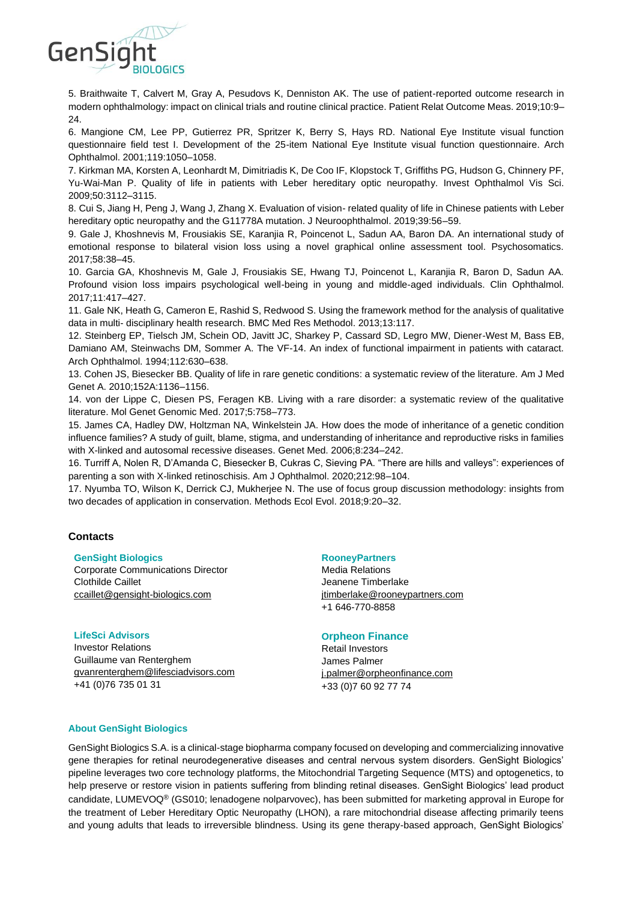

5. Braithwaite T, Calvert M, Gray A, Pesudovs K, Denniston AK. The use of patient-reported outcome research in modern ophthalmology: impact on clinical trials and routine clinical practice. Patient Relat Outcome Meas. 2019;10:9– 24.

6. Mangione CM, Lee PP, Gutierrez PR, Spritzer K, Berry S, Hays RD. National Eye Institute visual function questionnaire field test I. Development of the 25-item National Eye Institute visual function questionnaire. Arch Ophthalmol. 2001;119:1050–1058.

7. Kirkman MA, Korsten A, Leonhardt M, Dimitriadis K, De Coo IF, Klopstock T, Griffiths PG, Hudson G, Chinnery PF, Yu-Wai-Man P. Quality of life in patients with Leber hereditary optic neuropathy. Invest Ophthalmol Vis Sci. 2009;50:3112–3115.

8. Cui S, Jiang H, Peng J, Wang J, Zhang X. Evaluation of vision- related quality of life in Chinese patients with Leber hereditary optic neuropathy and the G11778A mutation. J Neuroophthalmol. 2019;39:56–59.

9. Gale J, Khoshnevis M, Frousiakis SE, Karanjia R, Poincenot L, Sadun AA, Baron DA. An international study of emotional response to bilateral vision loss using a novel graphical online assessment tool. Psychosomatics. 2017;58:38–45.

10. Garcia GA, Khoshnevis M, Gale J, Frousiakis SE, Hwang TJ, Poincenot L, Karanjia R, Baron D, Sadun AA. Profound vision loss impairs psychological well-being in young and middle-aged individuals. Clin Ophthalmol. 2017;11:417–427.

11. Gale NK, Heath G, Cameron E, Rashid S, Redwood S. Using the framework method for the analysis of qualitative data in multi- disciplinary health research. BMC Med Res Methodol. 2013;13:117.

12. Steinberg EP, Tielsch JM, Schein OD, Javitt JC, Sharkey P, Cassard SD, Legro MW, Diener-West M, Bass EB, Damiano AM, Steinwachs DM, Sommer A. The VF-14. An index of functional impairment in patients with cataract. Arch Ophthalmol. 1994;112:630–638.

13. Cohen JS, Biesecker BB. Quality of life in rare genetic conditions: a systematic review of the literature. Am J Med Genet A. 2010;152A:1136–1156.

14. von der Lippe C, Diesen PS, Feragen KB. Living with a rare disorder: a systematic review of the qualitative literature. Mol Genet Genomic Med. 2017;5:758–773.

15. James CA, Hadley DW, Holtzman NA, Winkelstein JA. How does the mode of inheritance of a genetic condition influence families? A study of guilt, blame, stigma, and understanding of inheritance and reproductive risks in families with X-linked and autosomal recessive diseases. Genet Med. 2006;8:234–242.

16. Turriff A, Nolen R, D'Amanda C, Biesecker B, Cukras C, Sieving PA. "There are hills and valleys": experiences of parenting a son with X-linked retinoschisis. Am J Ophthalmol. 2020;212:98–104.

17. Nyumba TO, Wilson K, Derrick CJ, Mukherjee N. The use of focus group discussion methodology: insights from two decades of application in conservation. Methods Ecol Evol. 2018;9:20–32.

## **Contacts**

#### **GenSight Biologics**

Corporate Communications Director Clothilde Caillet [ccaillet@gensight-biologics.com](mailto:tgidoin@gensight-biologics.com)

#### **LifeSci Advisors**

Investor Relations Guillaume van Renterghem [gvanrenterghem@lifesciadvisors.com](mailto:gvanrenterghem@lifesciadvisors.com) +41 (0)76 735 01 31

#### **RooneyPartners**

Media Relations Jeanene Timberlake [jtimberlake@rooneypartners.com](mailto:jtimberlake@rooneypartners.com) +1 646-770-8858

#### **Orpheon Finance**

Retail Investors James Palmer [j.palmer@orpheonfinance.com](mailto:j.palmer@orpheonfinance.com) +33 (0)7 60 92 77 74

#### **About GenSight Biologics**

GenSight Biologics S.A. is a clinical-stage biopharma company focused on developing and commercializing innovative gene therapies for retinal neurodegenerative diseases and central nervous system disorders. GenSight Biologics' pipeline leverages two core technology platforms, the Mitochondrial Targeting Sequence (MTS) and optogenetics, to help preserve or restore vision in patients suffering from blinding retinal diseases. GenSight Biologics' lead product candidate, LUMEVOQ® (GS010; lenadogene nolparvovec), has been submitted for marketing approval in Europe for the treatment of Leber Hereditary Optic Neuropathy (LHON), a rare mitochondrial disease affecting primarily teens and young adults that leads to irreversible blindness. Using its gene therapy-based approach, GenSight Biologics'